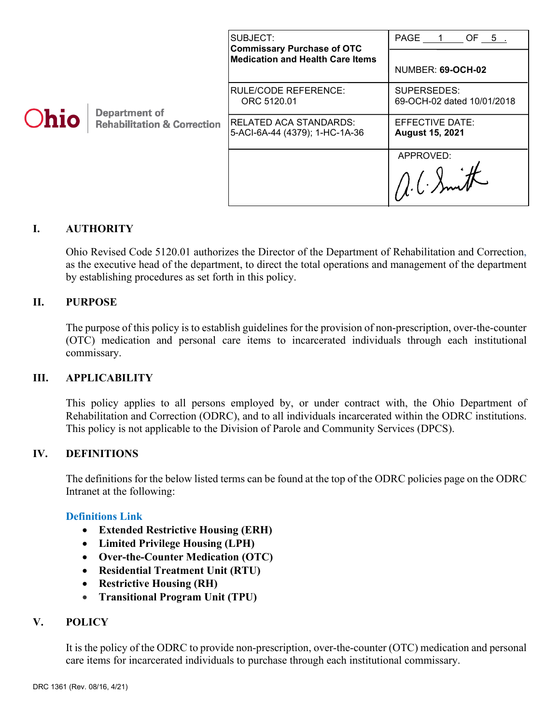|             |                                                                | SUBJECT:<br><b>Commissary Purchase of OTC</b>            | PAGE 1 OF 5                               |
|-------------|----------------------------------------------------------------|----------------------------------------------------------|-------------------------------------------|
| <b>Ohio</b> | <b>Department of</b><br><b>Rehabilitation &amp; Correction</b> | <b>Medication and Health Care Items</b>                  | NUMBER: 69-OCH-02                         |
|             |                                                                | <b>RULE/CODE REFERENCE:</b><br>ORC 5120.01               | SUPERSEDES:<br>69-OCH-02 dated 10/01/2018 |
|             |                                                                | RELATED ACA STANDARDS:<br>5-ACI-6A-44 (4379); 1-HC-1A-36 | EFFECTIVE DATE:<br><b>August 15, 2021</b> |
|             |                                                                |                                                          | APPROVED:                                 |

## **I. AUTHORITY**

Ohio Revised Code 5120.01 authorizes the Director of the Department of Rehabilitation and Correction, as the executive head of the department, to direct the total operations and management of the department by establishing procedures as set forth in this policy.

### **II. PURPOSE**

The purpose of this policy is to establish guidelines for the provision of non-prescription, over-the-counter (OTC) medication and personal care items to incarcerated individuals through each institutional commissary.

#### **III. APPLICABILITY**

This policy applies to all persons employed by, or under contract with, the Ohio Department of Rehabilitation and Correction (ODRC), and to all individuals incarcerated within the ODRC institutions. This policy is not applicable to the Division of Parole and Community Services (DPCS).

#### **IV. DEFINITIONS**

The definitions for the below listed terms can be found at the top of the ODRC policies page on the ODRC Intranet at the following:

#### **[Definitions Link](http://intra/policies/pagecontent/files/Policy%20Definition%20Spreadsheet%20-%20Intranet%202021.pdf)**

- **Extended Restrictive Housing (ERH)**
- **Limited Privilege Housing (LPH)**
- **Over-the-Counter Medication (OTC)**
- **Residential Treatment Unit (RTU)**
- **Restrictive Housing (RH)**
- **Transitional Program Unit (TPU)**

#### **V. POLICY**

It is the policy of the ODRC to provide non-prescription, over-the-counter (OTC) medication and personal care items for incarcerated individuals to purchase through each institutional commissary.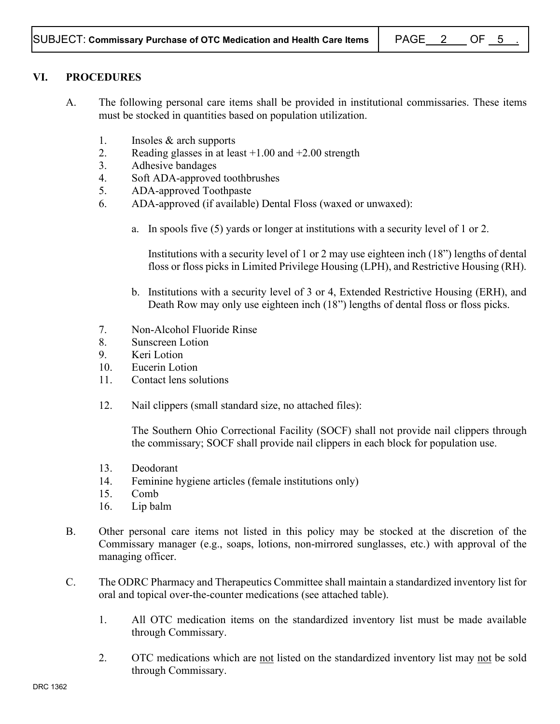## **VI. PROCEDURES**

- A. The following personal care items shall be provided in institutional commissaries. These items must be stocked in quantities based on population utilization.
	- 1. Insoles & arch supports
	- 2. Reading glasses in at least  $+1.00$  and  $+2.00$  strength
	- 3. Adhesive bandages
	- 4. Soft ADA-approved toothbrushes
	- 5. ADA-approved Toothpaste
	- 6. ADA-approved (if available) Dental Floss (waxed or unwaxed):
		- a. In spools five (5) yards or longer at institutions with a security level of 1 or 2.

Institutions with a security level of 1 or 2 may use eighteen inch (18") lengths of dental floss or floss picks in Limited Privilege Housing (LPH), and Restrictive Housing (RH).

- b. Institutions with a security level of 3 or 4, Extended Restrictive Housing (ERH), and Death Row may only use eighteen inch (18") lengths of dental floss or floss picks.
- 7. Non-Alcohol Fluoride Rinse
- 8. Sunscreen Lotion
- 9. Keri Lotion
- 10. Eucerin Lotion
- 11. Contact lens solutions
- 12. Nail clippers (small standard size, no attached files):

The Southern Ohio Correctional Facility (SOCF) shall not provide nail clippers through the commissary; SOCF shall provide nail clippers in each block for population use.

- 13. Deodorant
- 14. Feminine hygiene articles (female institutions only)
- 15. Comb
- 16. Lip balm
- B. Other personal care items not listed in this policy may be stocked at the discretion of the Commissary manager (e.g., soaps, lotions, non-mirrored sunglasses, etc.) with approval of the managing officer.
- C. The ODRC Pharmacy and Therapeutics Committee shall maintain a standardized inventory list for oral and topical over-the-counter medications (see attached table).
	- 1. All OTC medication items on the standardized inventory list must be made available through Commissary.
	- 2. OTC medications which are not listed on the standardized inventory list may not be sold through Commissary.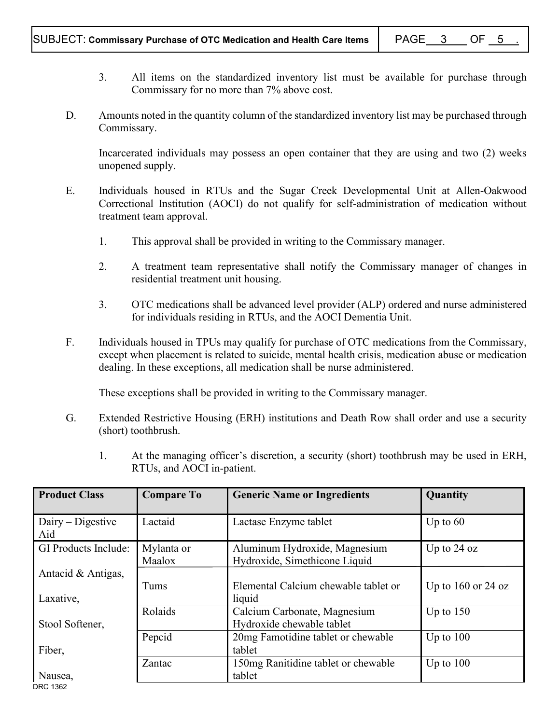- 3. All items on the standardized inventory list must be available for purchase through Commissary for no more than 7% above cost.
- D. Amounts noted in the quantity column of the standardized inventory list may be purchased through Commissary.

Incarcerated individuals may possess an open container that they are using and two (2) weeks unopened supply.

- E. Individuals housed in RTUs and the Sugar Creek Developmental Unit at Allen-Oakwood Correctional Institution (AOCI) do not qualify for self-administration of medication without treatment team approval.
	- 1. This approval shall be provided in writing to the Commissary manager.
	- 2. A treatment team representative shall notify the Commissary manager of changes in residential treatment unit housing.
	- 3. OTC medications shall be advanced level provider (ALP) ordered and nurse administered for individuals residing in RTUs, and the AOCI Dementia Unit.
- F. Individuals housed in TPUs may qualify for purchase of OTC medications from the Commissary, except when placement is related to suicide, mental health crisis, medication abuse or medication dealing. In these exceptions, all medication shall be nurse administered.

These exceptions shall be provided in writing to the Commissary manager.

- G. Extended Restrictive Housing (ERH) institutions and Death Row shall order and use a security (short) toothbrush.
	- 1. At the managing officer's discretion, a security (short) toothbrush may be used in ERH, RTUs, and AOCI in-patient.

| <b>Product Class</b>            | <b>Compare To</b>    | <b>Generic Name or Ingredients</b>                             | Quantity               |
|---------------------------------|----------------------|----------------------------------------------------------------|------------------------|
| $D一$ Digestive<br>Aid           | Lactaid              | Lactase Enzyme tablet                                          | Up to $60$             |
| <b>GI Products Include:</b>     | Mylanta or<br>Maalox | Aluminum Hydroxide, Magnesium<br>Hydroxide, Simethicone Liquid | Up to $24$ oz          |
| Antacid & Antigas,<br>Laxative, | Tums                 | Elemental Calcium chewable tablet or<br>liquid                 | Up to $160$ or $24$ oz |
| Stool Softener,                 | Rolaids              | Calcium Carbonate, Magnesium<br>Hydroxide chewable tablet      | Up to $150$            |
| Fiber,                          | Pepcid               | 20mg Famotidine tablet or chewable<br>tablet                   | Up to $100$            |
| Nausea,                         | Zantac               | 150mg Ranitidine tablet or chewable<br>tablet                  | Up to $100$            |

DRC 1362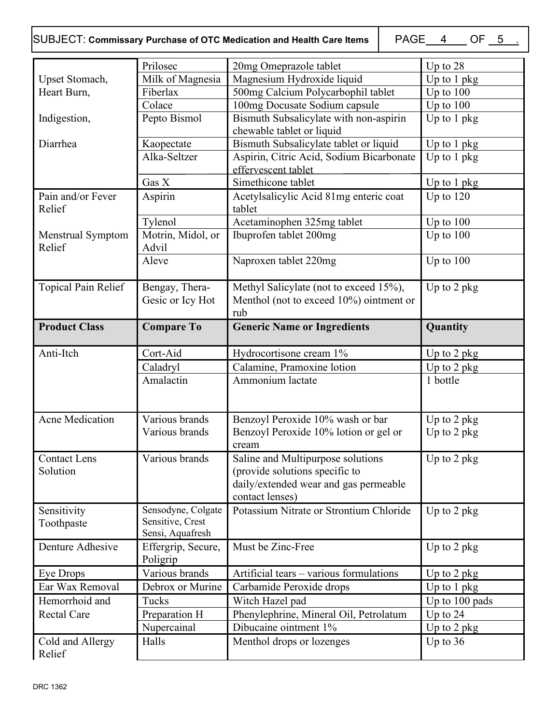# SUBJECT: Commissary Purchase of OTC Medication and Health Care Items  $\begin{array}{|l|} \text{PAGE_4} \quad \text{OF_5} \quad \text{.} \end{array}$

|                             | Prilosec                       | 20mg Omeprazole tablet                           | Up to 28       |
|-----------------------------|--------------------------------|--------------------------------------------------|----------------|
| Upset Stomach,              | Milk of Magnesia               | Magnesium Hydroxide liquid                       | Up to 1 pkg    |
| Heart Burn,                 | Fiberlax                       | 500mg Calcium Polycarbophil tablet               | Up to $100$    |
|                             | Colace                         | 100mg Docusate Sodium capsule                    | Up to 100      |
| Indigestion,                | Pepto Bismol                   | Bismuth Subsalicylate with non-aspirin           | Up to 1 pkg    |
|                             |                                | chewable tablet or liquid                        |                |
| Diarrhea                    | Kaopectate                     | Bismuth Subsalicylate tablet or liquid           | Up to 1 pkg    |
|                             | Alka-Seltzer                   | Aspirin, Citric Acid, Sodium Bicarbonate         | Up to 1 pkg    |
|                             |                                | effervescent tablet                              |                |
|                             | Gas X                          | Simethicone tablet                               | Up to $1$ pkg  |
| Pain and/or Fever<br>Relief | Aspirin                        | Acetylsalicylic Acid 81mg enteric coat<br>tablet | Up to $120$    |
|                             | Tylenol                        | Acetaminophen 325mg tablet                       | Up to $100$    |
| Menstrual Symptom<br>Relief | Motrin, Midol, or<br>Advil     | Ibuprofen tablet 200mg                           | Up to $100$    |
|                             | Aleve                          | Naproxen tablet 220mg                            | Up to $100$    |
| Topical Pain Relief         | Bengay, Thera-                 | Methyl Salicylate (not to exceed 15%),           | Up to 2 pkg    |
|                             | Gesic or Icy Hot               | Menthol (not to exceed 10%) ointment or<br>rub   |                |
| <b>Product Class</b>        | <b>Compare To</b>              | <b>Generic Name or Ingredients</b>               | Quantity       |
|                             |                                |                                                  |                |
| Anti-Itch                   | Cort-Aid                       | Hydrocortisone cream 1%                          | Up to $2$ pkg  |
|                             | Caladryl                       | Calamine, Pramoxine lotion                       | Up to 2 pkg    |
|                             | Amalactin                      | Ammonium lactate                                 | 1 bottle       |
|                             |                                |                                                  |                |
|                             |                                |                                                  |                |
| <b>Acne Medication</b>      | Various brands                 | Benzoyl Peroxide 10% wash or bar                 | Up to 2 pkg    |
|                             | Various brands                 | Benzoyl Peroxide 10% lotion or gel or            | Up to 2 pkg    |
|                             |                                | cream                                            |                |
| <b>Contact Lens</b>         | Various brands                 | Saline and Multipurpose solutions                | Up to 2 pkg    |
| Solution                    |                                | (provide solutions specific to                   |                |
|                             |                                |                                                  |                |
|                             |                                | daily/extended wear and gas permeable            |                |
|                             |                                | contact lenses)                                  |                |
| Sensitivity                 | Sensodyne, Colgate             | Potassium Nitrate or Strontium Chloride          | Up to 2 pkg    |
| Toothpaste                  | Sensitive, Crest               |                                                  |                |
|                             | Sensi, Aquafresh               |                                                  |                |
| Denture Adhesive            | Effergrip, Secure,<br>Poligrip | Must be Zinc-Free                                | Up to 2 pkg    |
| Eye Drops                   | Various brands                 | Artificial tears – various formulations          | Up to $2$ pkg  |
| Ear Wax Removal             | Debrox or Murine               | Carbamide Peroxide drops                         | Up to 1 pkg    |
| Hemorrhoid and              | Tucks                          | Witch Hazel pad                                  | Up to 100 pads |
| <b>Rectal Care</b>          | Preparation H                  | Phenylephrine, Mineral Oil, Petrolatum           | Up to $24$     |
|                             | Nupercainal                    | Dibucaine ointment 1%                            | Up to 2 pkg    |
| Cold and Allergy            | Halls                          | Menthol drops or lozenges                        | Up to $36$     |